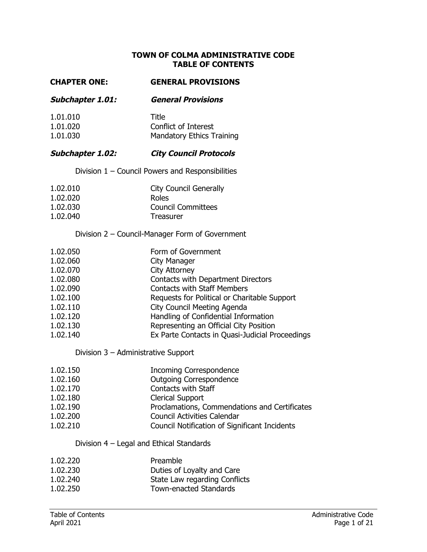#### **TOWN OF COLMA ADMINISTRATIVE CODE TABLE OF CONTENTS**

#### **CHAPTER ONE: GENERAL PROVISIONS**

**Subchapter 1.01: General Provisions** 

| 1.01.010 | <b>Title</b>                     |
|----------|----------------------------------|
| 1.01.020 | Conflict of Interest             |
| 1.01.030 | <b>Mandatory Ethics Training</b> |

## **Subchapter 1.02: City Council Protocols**

Division 1 – Council Powers and Responsibilities

| 1.02.010 | <b>City Council Generally</b> |
|----------|-------------------------------|
| 1.02.020 | Roles                         |
| 1.02.030 | <b>Council Committees</b>     |
| 1.02.040 | Treasurer                     |

#### Division 2 – Council-Manager Form of Government

| 1.02.050 | Form of Government                              |
|----------|-------------------------------------------------|
| 1.02.060 | City Manager                                    |
| 1.02.070 | <b>City Attorney</b>                            |
| 1.02.080 | Contacts with Department Directors              |
| 1.02.090 | <b>Contacts with Staff Members</b>              |
| 1.02.100 | Requests for Political or Charitable Support    |
| 1.02.110 | City Council Meeting Agenda                     |
| 1.02.120 | Handling of Confidential Information            |
| 1.02.130 | Representing an Official City Position          |
| 1.02.140 | Ex Parte Contacts in Quasi-Judicial Proceedings |

#### Division 3 – Administrative Support

| 1.02.150 | <b>Incoming Correspondence</b>                |
|----------|-----------------------------------------------|
| 1.02.160 | <b>Outgoing Correspondence</b>                |
| 1.02.170 | Contacts with Staff                           |
| 1.02.180 | <b>Clerical Support</b>                       |
| 1.02.190 | Proclamations, Commendations and Certificates |
| 1.02.200 | <b>Council Activities Calendar</b>            |
| 1.02.210 | Council Notification of Significant Incidents |

## Division 4 – Legal and Ethical Standards

| 1.02.220 | Preamble                      |
|----------|-------------------------------|
| 1.02.230 | Duties of Loyalty and Care    |
| 1.02.240 | State Law regarding Conflicts |
| 1.02.250 | <b>Town-enacted Standards</b> |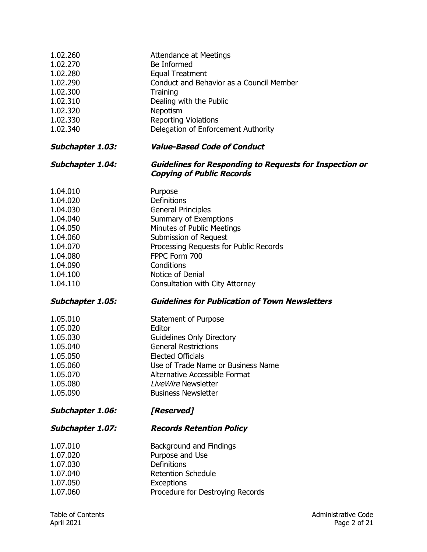| 1.02.260<br>1.02.270<br>1.02.280<br>1.02.290<br>1.02.300<br>1.02.310<br>1.02.320<br>1.02.330<br>1.02.340                         | Attendance at Meetings<br>Be Informed<br><b>Equal Treatment</b><br>Conduct and Behavior as a Council Member<br>Training<br>Dealing with the Public<br>Nepotism<br><b>Reporting Violations</b><br>Delegation of Enforcement Authority                                |
|----------------------------------------------------------------------------------------------------------------------------------|---------------------------------------------------------------------------------------------------------------------------------------------------------------------------------------------------------------------------------------------------------------------|
| <b>Subchapter 1.03:</b>                                                                                                          | <b>Value-Based Code of Conduct</b>                                                                                                                                                                                                                                  |
| <b>Subchapter 1.04:</b>                                                                                                          | <b>Guidelines for Responding to Requests for Inspection or</b><br><b>Copying of Public Records</b>                                                                                                                                                                  |
| 1.04.010<br>1.04.020<br>1.04.030<br>1.04.040<br>1.04.050<br>1.04.060<br>1.04.070<br>1.04.080<br>1.04.090<br>1.04.100<br>1.04.110 | Purpose<br>Definitions<br><b>General Principles</b><br>Summary of Exemptions<br>Minutes of Public Meetings<br>Submission of Request<br>Processing Requests for Public Records<br>FPPC Form 700<br>Conditions<br>Notice of Denial<br>Consultation with City Attorney |
| <b>Subchapter 1.05:</b>                                                                                                          | <b>Guidelines for Publication of Town Newsletters</b>                                                                                                                                                                                                               |
| 1.05.010<br>1.05.020<br>1.05.030<br>1.05.040<br>1.05.050<br>1.05.060<br>1.05.070<br>1.05.080<br>1.05.090                         | Statement of Purpose<br>Editor<br><b>Guidelines Only Directory</b><br><b>General Restrictions</b><br><b>Elected Officials</b><br>Use of Trade Name or Business Name<br>Alternative Accessible Format<br><b>LiveWire Newsletter</b><br><b>Business Newsletter</b>    |
| <b>Subchapter 1.06:</b>                                                                                                          | [Reserved]                                                                                                                                                                                                                                                          |
| <b>Subchapter 1.07:</b>                                                                                                          | <b>Records Retention Policy</b>                                                                                                                                                                                                                                     |
| 1.07.010<br>1.07.020<br>1.07.030<br>1.07.040<br>1.07.050                                                                         | Background and Findings<br>Purpose and Use<br>Definitions<br><b>Retention Schedule</b><br><b>Exceptions</b>                                                                                                                                                         |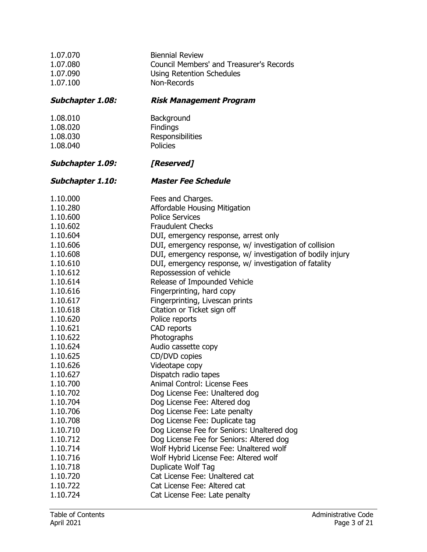| 1.07.070                | <b>Biennial Review</b>                                     |
|-------------------------|------------------------------------------------------------|
| 1.07.080                | Council Members' and Treasurer's Records                   |
| 1.07.090                | <b>Using Retention Schedules</b>                           |
| 1.07.100                | Non-Records                                                |
| <b>Subchapter 1.08:</b> | <b>Risk Management Program</b>                             |
| 1.08.010                | Background                                                 |
| 1.08.020                | Findings                                                   |
| 1.08.030                | Responsibilities                                           |
| 1.08.040                | <b>Policies</b>                                            |
| <b>Subchapter 1.09:</b> | [Reserved]                                                 |
| Subchapter 1.10:        | <b>Master Fee Schedule</b>                                 |
| 1.10.000                | Fees and Charges.                                          |
| 1.10.280                | Affordable Housing Mitigation                              |
| 1.10.600                | <b>Police Services</b>                                     |
| 1.10.602                | <b>Fraudulent Checks</b>                                   |
| 1.10.604                | DUI, emergency response, arrest only                       |
| 1.10.606                | DUI, emergency response, w/ investigation of collision     |
| 1.10.608                | DUI, emergency response, w/ investigation of bodily injury |
| 1.10.610                | DUI, emergency response, w/ investigation of fatality      |
| 1.10.612                | Repossession of vehicle                                    |
| 1.10.614                | Release of Impounded Vehicle                               |
| 1.10.616                | Fingerprinting, hard copy                                  |
| 1.10.617                | Fingerprinting, Livescan prints                            |
| 1.10.618                | Citation or Ticket sign off                                |
| 1.10.620                | Police reports                                             |
| 1.10.621                | CAD reports                                                |
| 1.10.622                | Photographs                                                |
| 1.10.624                | Audio cassette copy                                        |
| 1.10.625                | CD/DVD copies                                              |
| 1.10.626                | Videotape copy                                             |
| 1.10.627                | Dispatch radio tapes                                       |
| 1.10.700                | Animal Control: License Fees                               |
| 1.10.702                | Dog License Fee: Unaltered dog                             |
| 1.10.704                | Dog License Fee: Altered dog                               |
| 1.10.706                | Dog License Fee: Late penalty                              |
| 1.10.708                | Dog License Fee: Duplicate tag                             |
| 1.10.710                | Dog License Fee for Seniors: Unaltered dog                 |
| 1.10.712                | Dog License Fee for Seniors: Altered dog                   |
| 1.10.714                | Wolf Hybrid License Fee: Unaltered wolf                    |
| 1.10.716                | Wolf Hybrid License Fee: Altered wolf                      |
| 1.10.718                | Duplicate Wolf Tag                                         |
| 1.10.720                | Cat License Fee: Unaltered cat                             |
| 1.10.722                | Cat License Fee: Altered cat                               |
| 1.10.724                | Cat License Fee: Late penalty                              |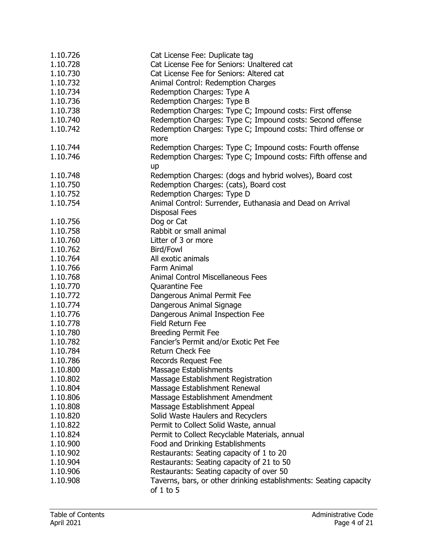| 1.10.726 | Cat License Fee: Duplicate tag                                    |
|----------|-------------------------------------------------------------------|
| 1.10.728 | Cat License Fee for Seniors: Unaltered cat                        |
| 1.10.730 | Cat License Fee for Seniors: Altered cat                          |
| 1.10.732 | Animal Control: Redemption Charges                                |
| 1.10.734 | Redemption Charges: Type A                                        |
| 1.10.736 | Redemption Charges: Type B                                        |
| 1.10.738 | Redemption Charges: Type C; Impound costs: First offense          |
| 1.10.740 | Redemption Charges: Type C; Impound costs: Second offense         |
| 1.10.742 | Redemption Charges: Type C; Impound costs: Third offense or       |
|          | more                                                              |
| 1.10.744 | Redemption Charges: Type C; Impound costs: Fourth offense         |
| 1.10.746 | Redemption Charges: Type C; Impound costs: Fifth offense and      |
|          | up                                                                |
| 1.10.748 | Redemption Charges: (dogs and hybrid wolves), Board cost          |
| 1.10.750 | Redemption Charges: (cats), Board cost                            |
| 1.10.752 | Redemption Charges: Type D                                        |
| 1.10.754 | Animal Control: Surrender, Euthanasia and Dead on Arrival         |
|          | <b>Disposal Fees</b>                                              |
| 1.10.756 | Dog or Cat                                                        |
| 1.10.758 | Rabbit or small animal                                            |
| 1.10.760 | Litter of 3 or more                                               |
| 1.10.762 | Bird/Fowl                                                         |
| 1.10.764 | All exotic animals                                                |
| 1.10.766 | Farm Animal                                                       |
|          | <b>Animal Control Miscellaneous Fees</b>                          |
| 1.10.768 |                                                                   |
| 1.10.770 | Quarantine Fee                                                    |
| 1.10.772 | Dangerous Animal Permit Fee                                       |
| 1.10.774 | Dangerous Animal Signage                                          |
| 1.10.776 | Dangerous Animal Inspection Fee                                   |
| 1.10.778 | <b>Field Return Fee</b>                                           |
| 1.10.780 | <b>Breeding Permit Fee</b>                                        |
| 1.10.782 | Fancier's Permit and/or Exotic Pet Fee                            |
| 1.10.784 | <b>Return Check Fee</b>                                           |
| 1.10.786 | <b>Records Request Fee</b>                                        |
| 1.10.800 | Massage Establishments                                            |
| 1.10.802 | Massage Establishment Registration                                |
| 1.10.804 | Massage Establishment Renewal                                     |
| 1.10.806 | Massage Establishment Amendment                                   |
| 1.10.808 | Massage Establishment Appeal                                      |
| 1.10.820 | Solid Waste Haulers and Recyclers                                 |
| 1.10.822 | Permit to Collect Solid Waste, annual                             |
| 1.10.824 | Permit to Collect Recyclable Materials, annual                    |
| 1.10.900 | Food and Drinking Establishments                                  |
| 1.10.902 | Restaurants: Seating capacity of 1 to 20                          |
| 1.10.904 | Restaurants: Seating capacity of 21 to 50                         |
| 1.10.906 | Restaurants: Seating capacity of over 50                          |
| 1.10.908 | Taverns, bars, or other drinking establishments: Seating capacity |
|          | of $1$ to $5$                                                     |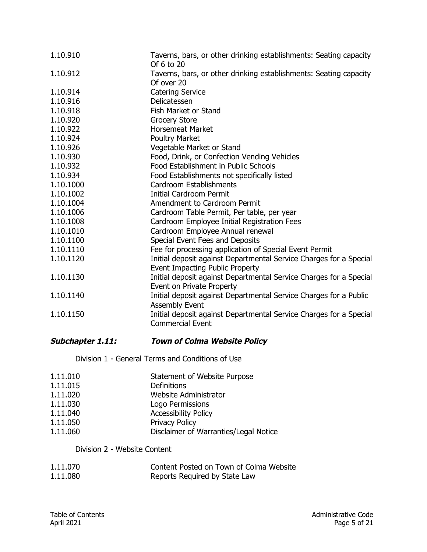| 1.10.910  | Taverns, bars, or other drinking establishments: Seating capacity<br>Of 6 to 20 |
|-----------|---------------------------------------------------------------------------------|
| 1.10.912  | Taverns, bars, or other drinking establishments: Seating capacity               |
|           | Of over 20                                                                      |
| 1.10.914  | <b>Catering Service</b>                                                         |
| 1.10.916  | Delicatessen                                                                    |
| 1.10.918  | Fish Market or Stand                                                            |
| 1.10.920  | <b>Grocery Store</b>                                                            |
| 1.10.922  | <b>Horsemeat Market</b>                                                         |
| 1.10.924  | <b>Poultry Market</b>                                                           |
| 1.10.926  | Vegetable Market or Stand                                                       |
| 1.10.930  | Food, Drink, or Confection Vending Vehicles                                     |
| 1.10.932  | Food Establishment in Public Schools                                            |
| 1.10.934  | Food Establishments not specifically listed                                     |
| 1.10.1000 | Cardroom Establishments                                                         |
| 1.10.1002 | <b>Initial Cardroom Permit</b>                                                  |
| 1.10.1004 | Amendment to Cardroom Permit                                                    |
| 1.10.1006 | Cardroom Table Permit, Per table, per year                                      |
| 1.10.1008 | Cardroom Employee Initial Registration Fees                                     |
| 1.10.1010 | Cardroom Employee Annual renewal                                                |
| 1.10.1100 | Special Event Fees and Deposits                                                 |
| 1.10.1110 | Fee for processing application of Special Event Permit                          |
| 1.10.1120 | Initial deposit against Departmental Service Charges for a Special              |
|           | Event Impacting Public Property                                                 |
| 1.10.1130 | Initial deposit against Departmental Service Charges for a Special              |
|           | Event on Private Property                                                       |
| 1.10.1140 | Initial deposit against Departmental Service Charges for a Public               |
|           | <b>Assembly Event</b>                                                           |
| 1.10.1150 | Initial deposit against Departmental Service Charges for a Special              |
|           | <b>Commercial Event</b>                                                         |

# **Subchapter 1.11: Town of Colma Website Policy**

Division 1 - General Terms and Conditions of Use

| 1.11.010 | Statement of Website Purpose          |
|----------|---------------------------------------|
| 1.11.015 | Definitions                           |
| 1.11.020 | Website Administrator                 |
| 1.11.030 | Logo Permissions                      |
| 1.11.040 | <b>Accessibility Policy</b>           |
| 1.11.050 | <b>Privacy Policy</b>                 |
| 1.11.060 | Disclaimer of Warranties/Legal Notice |

## Division 2 - Website Content

| 1.11.070 | Content Posted on Town of Colma Website |
|----------|-----------------------------------------|
| 1.11.080 | Reports Required by State Law           |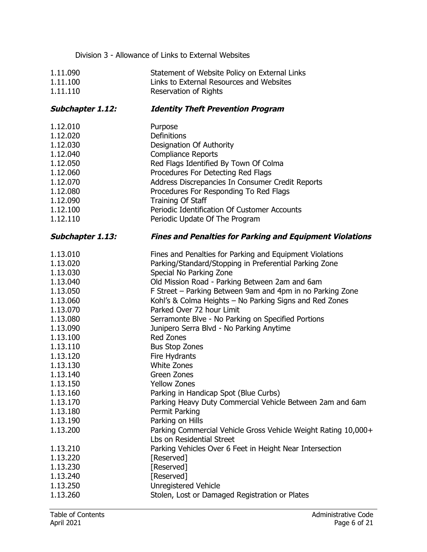| Division 3 - Allowance of Links to External Websites |                                                                                             |  |
|------------------------------------------------------|---------------------------------------------------------------------------------------------|--|
| 1.11.090                                             | Statement of Website Policy on External Links                                               |  |
| 1.11.100                                             | Links to External Resources and Websites                                                    |  |
| 1.11.110                                             | <b>Reservation of Rights</b>                                                                |  |
| <b>Subchapter 1.12:</b>                              | <b>Identity Theft Prevention Program</b>                                                    |  |
| 1.12.010                                             | Purpose                                                                                     |  |
| 1.12.020                                             | <b>Definitions</b>                                                                          |  |
| 1.12.030                                             | Designation Of Authority                                                                    |  |
| 1.12.040                                             | <b>Compliance Reports</b>                                                                   |  |
| 1.12.050                                             | Red Flags Identified By Town Of Colma                                                       |  |
| 1.12.060                                             | Procedures For Detecting Red Flags                                                          |  |
| 1.12.070                                             | Address Discrepancies In Consumer Credit Reports                                            |  |
| 1.12.080                                             | Procedures For Responding To Red Flags                                                      |  |
| 1.12.090                                             | Training Of Staff                                                                           |  |
| 1.12.100                                             | Periodic Identification Of Customer Accounts                                                |  |
| 1.12.110                                             | Periodic Update Of The Program                                                              |  |
| <b>Subchapter 1.13:</b>                              | <b>Fines and Penalties for Parking and Equipment Violations</b>                             |  |
| 1.13.010                                             | Fines and Penalties for Parking and Equipment Violations                                    |  |
| 1.13.020                                             | Parking/Standard/Stopping in Preferential Parking Zone                                      |  |
| 1.13.030                                             | Special No Parking Zone                                                                     |  |
| 1.13.040                                             | Old Mission Road - Parking Between 2am and 6am                                              |  |
| 1.13.050                                             | F Street - Parking Between 9am and 4pm in no Parking Zone                                   |  |
| 1.13.060                                             | Kohl's & Colma Heights - No Parking Signs and Red Zones                                     |  |
| 1.13.070                                             | Parked Over 72 hour Limit                                                                   |  |
| 1.13.080                                             | Serramonte Blve - No Parking on Specified Portions                                          |  |
| 1.13.090                                             | Junipero Serra Blvd - No Parking Anytime                                                    |  |
| 1.13.100                                             | <b>Red Zones</b>                                                                            |  |
| 1.13.110                                             | <b>Bus Stop Zones</b>                                                                       |  |
| 1.13.120                                             | <b>Fire Hydrants</b>                                                                        |  |
| 1.13.130                                             | White Zones                                                                                 |  |
| 1.13.140                                             | <b>Green Zones</b>                                                                          |  |
| 1.13.150                                             | <b>Yellow Zones</b>                                                                         |  |
| 1.13.160                                             | Parking in Handicap Spot (Blue Curbs)                                                       |  |
| 1.13.170                                             | Parking Heavy Duty Commercial Vehicle Between 2am and 6am                                   |  |
| 1.13.180                                             | Permit Parking                                                                              |  |
| 1.13.190                                             | Parking on Hills                                                                            |  |
| 1.13.200                                             | Parking Commercial Vehicle Gross Vehicle Weight Rating 10,000+<br>Lbs on Residential Street |  |
| 1.13.210                                             | Parking Vehicles Over 6 Feet in Height Near Intersection                                    |  |
| 1.13.220                                             | [Reserved]                                                                                  |  |
| 1.13.230                                             | [Reserved]                                                                                  |  |
| 1.13.240                                             | [Reserved]                                                                                  |  |
| 1.13.250                                             | <b>Unregistered Vehicle</b>                                                                 |  |
| 1.13.260                                             | Stolen, Lost or Damaged Registration or Plates                                              |  |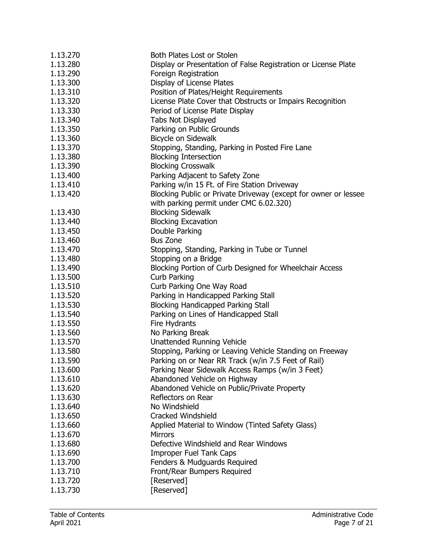| 1.13.270 | Both Plates Lost or Stolen                                      |
|----------|-----------------------------------------------------------------|
| 1.13.280 | Display or Presentation of False Registration or License Plate  |
| 1.13.290 | Foreign Registration                                            |
| 1.13.300 | Display of License Plates                                       |
| 1.13.310 | Position of Plates/Height Requirements                          |
| 1.13.320 | License Plate Cover that Obstructs or Impairs Recognition       |
| 1.13.330 | Period of License Plate Display                                 |
| 1.13.340 | Tabs Not Displayed                                              |
| 1.13.350 | Parking on Public Grounds                                       |
| 1.13.360 | Bicycle on Sidewalk                                             |
| 1.13.370 | Stopping, Standing, Parking in Posted Fire Lane                 |
| 1.13.380 | <b>Blocking Intersection</b>                                    |
| 1.13.390 | <b>Blocking Crosswalk</b>                                       |
| 1.13.400 | Parking Adjacent to Safety Zone                                 |
| 1.13.410 | Parking w/in 15 Ft. of Fire Station Driveway                    |
| 1.13.420 | Blocking Public or Private Driveway (except for owner or lessee |
|          | with parking permit under CMC 6.02.320)                         |
| 1.13.430 | <b>Blocking Sidewalk</b>                                        |
| 1.13.440 | <b>Blocking Excavation</b>                                      |
| 1.13.450 | Double Parking                                                  |
| 1.13.460 | <b>Bus Zone</b>                                                 |
| 1.13.470 | Stopping, Standing, Parking in Tube or Tunnel                   |
| 1.13.480 | Stopping on a Bridge                                            |
| 1.13.490 | Blocking Portion of Curb Designed for Wheelchair Access         |
| 1.13.500 | Curb Parking                                                    |
| 1.13.510 | Curb Parking One Way Road                                       |
| 1.13.520 | Parking in Handicapped Parking Stall                            |
| 1.13.530 | <b>Blocking Handicapped Parking Stall</b>                       |
| 1.13.540 |                                                                 |
|          | Parking on Lines of Handicapped Stall<br>Fire Hydrants          |
| 1.13.550 |                                                                 |
| 1.13.560 | No Parking Break                                                |
| 1.13.570 | <b>Unattended Running Vehicle</b>                               |
| 1.13.580 | Stopping, Parking or Leaving Vehicle Standing on Freeway        |
| 1.13.590 | Parking on or Near RR Track (w/in 7.5 Feet of Rail)             |
| 1.13.600 | Parking Near Sidewalk Access Ramps (w/in 3 Feet)                |
| 1.13.610 | Abandoned Vehicle on Highway                                    |
| 1.13.620 | Abandoned Vehicle on Public/Private Property                    |
| 1.13.630 | Reflectors on Rear                                              |
| 1.13.640 | No Windshield                                                   |
| 1.13.650 | <b>Cracked Windshield</b>                                       |
| 1.13.660 | Applied Material to Window (Tinted Safety Glass)                |
| 1.13.670 | <b>Mirrors</b>                                                  |
| 1.13.680 | Defective Windshield and Rear Windows                           |
| 1.13.690 | <b>Improper Fuel Tank Caps</b>                                  |
| 1.13.700 | Fenders & Mudguards Required                                    |
| 1.13.710 | Front/Rear Bumpers Required                                     |
| 1.13.720 | [Reserved]                                                      |
| 1.13.730 | [Reserved]                                                      |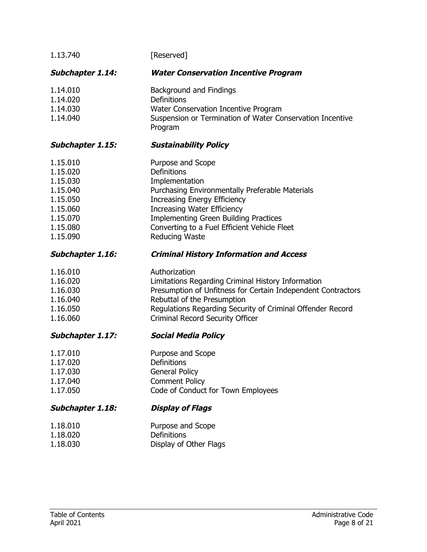| 1.13.740                                                                                                 | [Reserved]                                                                                                                                                                                                                                                                                                  |
|----------------------------------------------------------------------------------------------------------|-------------------------------------------------------------------------------------------------------------------------------------------------------------------------------------------------------------------------------------------------------------------------------------------------------------|
| <b>Subchapter 1.14:</b>                                                                                  | <b>Water Conservation Incentive Program</b>                                                                                                                                                                                                                                                                 |
| 1.14.010<br>1.14.020<br>1.14.030<br>1.14.040                                                             | Background and Findings<br>Definitions<br>Water Conservation Incentive Program<br>Suspension or Termination of Water Conservation Incentive<br>Program                                                                                                                                                      |
| <b>Subchapter 1.15:</b>                                                                                  | <b>Sustainability Policy</b>                                                                                                                                                                                                                                                                                |
| 1.15.010<br>1.15.020<br>1.15.030<br>1.15.040<br>1.15.050<br>1.15.060<br>1.15.070<br>1.15.080<br>1.15.090 | Purpose and Scope<br>Definitions<br>Implementation<br>Purchasing Environmentally Preferable Materials<br><b>Increasing Energy Efficiency</b><br><b>Increasing Water Efficiency</b><br><b>Implementing Green Building Practices</b><br>Converting to a Fuel Efficient Vehicle Fleet<br><b>Reducing Waste</b> |
| <b>Subchapter 1.16:</b>                                                                                  | <b>Criminal History Information and Access</b>                                                                                                                                                                                                                                                              |
| 1.16.010<br>1.16.020<br>1.16.030<br>1.16.040<br>1.16.050<br>1.16.060                                     | Authorization<br>Limitations Regarding Criminal History Information<br>Presumption of Unfitness for Certain Independent Contractors<br>Rebuttal of the Presumption<br>Regulations Regarding Security of Criminal Offender Record<br>Criminal Record Security Officer                                        |
| <b>Subchapter 1.17:</b>                                                                                  | <b>Social Media Policy</b>                                                                                                                                                                                                                                                                                  |
| 1.17.010<br>1.17.020<br>1.17.030<br>1.17.040<br>1.17.050                                                 | Purpose and Scope<br>Definitions<br><b>General Policy</b><br><b>Comment Policy</b><br>Code of Conduct for Town Employees                                                                                                                                                                                    |
| <b>Subchapter 1.18:</b>                                                                                  | <b>Display of Flags</b>                                                                                                                                                                                                                                                                                     |
|                                                                                                          |                                                                                                                                                                                                                                                                                                             |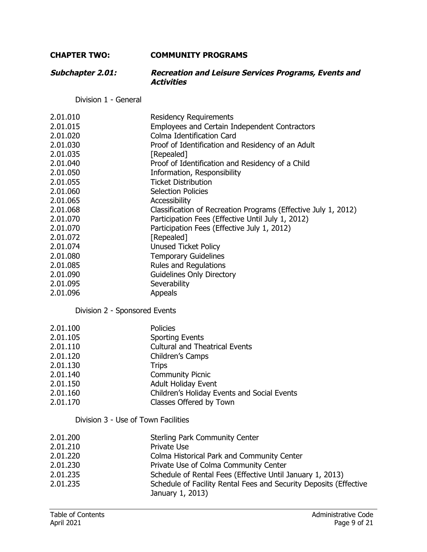# **CHAPTER TWO: COMMUNITY PROGRAMS**

| <b>Subchapter 2.01:</b> | <b>Recreation and Leisure Services Programs, Events and</b> |
|-------------------------|-------------------------------------------------------------|
|                         | <b>Activities</b>                                           |

Division 1 - General

| 2.01.010                    | <b>Residency Requirements</b>                                  |
|-----------------------------|----------------------------------------------------------------|
| 2.01.015                    | <b>Employees and Certain Independent Contractors</b>           |
| 2.01.020                    | Colma Identification Card                                      |
| 2.01.030                    | Proof of Identification and Residency of an Adult              |
| 2.01.035                    | [Repealed]                                                     |
| 2.01.040                    | Proof of Identification and Residency of a Child               |
| 2.01.050                    | Information, Responsibility                                    |
| 2.01.055                    | <b>Ticket Distribution</b>                                     |
| 2.01.060                    | <b>Selection Policies</b>                                      |
| 2.01.065                    | Accessibility                                                  |
| 2.01.068                    | Classification of Recreation Programs (Effective July 1, 2012) |
| 2.01.070                    | Participation Fees (Effective Until July 1, 2012)              |
| 2.01.070                    | Participation Fees (Effective July 1, 2012)                    |
| 2.01.072                    | [Repealed]                                                     |
| 2.01.074                    | <b>Unused Ticket Policy</b>                                    |
| 2.01.080                    | <b>Temporary Guidelines</b>                                    |
| 2.01.085                    | <b>Rules and Regulations</b>                                   |
| 2.01.090                    | <b>Guidelines Only Directory</b>                               |
| 2.01.095                    | Severability                                                   |
| 2.01.096                    | <b>Appeals</b>                                                 |
| Division 2 Chancerod Eughts |                                                                |

Division 2 - Sponsored Events

| 2.01.100 | <b>Policies</b>                             |
|----------|---------------------------------------------|
| 2.01.105 | <b>Sporting Events</b>                      |
| 2.01.110 | <b>Cultural and Theatrical Events</b>       |
| 2.01.120 | Children's Camps                            |
| 2.01.130 | <b>Trips</b>                                |
| 2.01.140 | <b>Community Picnic</b>                     |
| 2.01.150 | <b>Adult Holiday Event</b>                  |
| 2.01.160 | Children's Holiday Events and Social Events |
| 2.01.170 | Classes Offered by Town                     |
|          |                                             |

# Division 3 - Use of Town Facilities

| 2.01.200 | <b>Sterling Park Community Center</b>                             |
|----------|-------------------------------------------------------------------|
| 2.01.210 | Private Use                                                       |
| 2.01.220 | Colma Historical Park and Community Center                        |
| 2.01.230 | Private Use of Colma Community Center                             |
| 2.01.235 | Schedule of Rental Fees (Effective Until January 1, 2013)         |
| 2.01.235 | Schedule of Facility Rental Fees and Security Deposits (Effective |
|          | January 1, 2013)                                                  |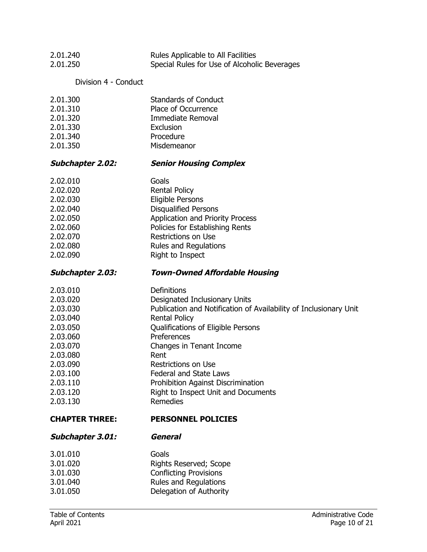| 2.01.240                | Rules Applicable to All Facilities                                |
|-------------------------|-------------------------------------------------------------------|
| 2.01.250                | Special Rules for Use of Alcoholic Beverages                      |
| Division 4 - Conduct    |                                                                   |
| 2.01.300                | <b>Standards of Conduct</b>                                       |
| 2.01.310                | Place of Occurrence                                               |
| 2.01.320                | Immediate Removal                                                 |
| 2.01.330                | Exclusion                                                         |
| 2.01.340                | Procedure                                                         |
| 2.01.350                | Misdemeanor                                                       |
| <b>Subchapter 2.02:</b> | <b>Senior Housing Complex</b>                                     |
| 2.02.010                | Goals                                                             |
| 2.02.020                | <b>Rental Policy</b>                                              |
| 2.02.030                | <b>Eligible Persons</b>                                           |
| 2.02.040                | <b>Disqualified Persons</b>                                       |
| 2.02.050                | <b>Application and Priority Process</b>                           |
| 2.02.060                | Policies for Establishing Rents                                   |
| 2.02.070                | <b>Restrictions on Use</b>                                        |
| 2.02.080                | <b>Rules and Regulations</b>                                      |
| 2.02.090                | Right to Inspect                                                  |
| <b>Subchapter 2.03:</b> | <b>Town-Owned Affordable Housing</b>                              |
| 2.03.010                | Definitions                                                       |
| 2.03.020                | Designated Inclusionary Units                                     |
| 2.03.030                | Publication and Notification of Availability of Inclusionary Unit |
| 2.03.040                | <b>Rental Policy</b>                                              |
| 2.03.050                | Qualifications of Eligible Persons                                |
| 2.03.060                | Preferences                                                       |
| 2.03.070                | Changes in Tenant Income                                          |
| 2.03.080                | Rent                                                              |
| 2.03.090                | <b>Restrictions on Use</b>                                        |
| 2.03.100                | <b>Federal and State Laws</b>                                     |
| 2.03.110                | Prohibition Against Discrimination                                |
| 2.03.120                | Right to Inspect Unit and Documents                               |
| 2.03.130                | <b>Remedies</b>                                                   |
| <b>CHAPTER THREE:</b>   | <b>PERSONNEL POLICIES</b>                                         |
| <b>Subchapter 3.01:</b> | <b>General</b>                                                    |
| 3.01.010                | Goals                                                             |
| 3.01.020                | Rights Reserved; Scope                                            |
| 3.01.030                | <b>Conflicting Provisions</b>                                     |
| 3.01.040                | Rules and Regulations                                             |
| 3.01.050                | Delegation of Authority                                           |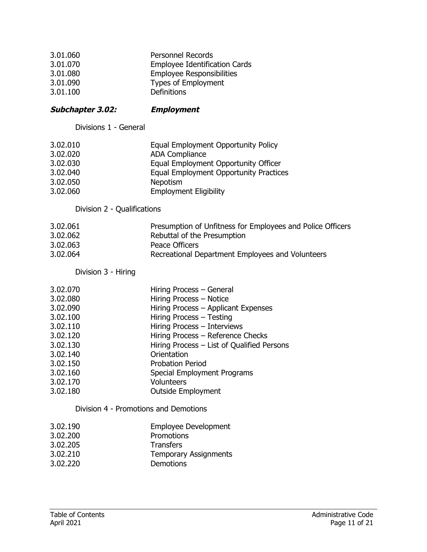| 3.01.060 | <b>Personnel Records</b>             |
|----------|--------------------------------------|
| 3.01.070 | <b>Employee Identification Cards</b> |
| 3.01.080 | <b>Employee Responsibilities</b>     |
| 3.01.090 | <b>Types of Employment</b>           |
| 3.01.100 | <b>Definitions</b>                   |

## **Subchapter 3.02: Employment**

Divisions 1 - General

| 3.02.010 | Equal Employment Opportunity Policy           |
|----------|-----------------------------------------------|
| 3.02.020 | <b>ADA Compliance</b>                         |
| 3.02.030 | Equal Employment Opportunity Officer          |
| 3.02.040 | <b>Equal Employment Opportunity Practices</b> |
| 3.02.050 | <b>Nepotism</b>                               |
| 3.02.060 | <b>Employment Eligibility</b>                 |

Division 2 - Qualifications

| 3.02.061 | Presumption of Unfitness for Employees and Police Officers |
|----------|------------------------------------------------------------|
| 3.02.062 | Rebuttal of the Presumption                                |
| 3.02.063 | Peace Officers                                             |
| 3.02.064 | Recreational Department Employees and Volunteers           |

Division 3 - Hiring

| 3.02.070 | Hiring Process - General                   |
|----------|--------------------------------------------|
| 3.02.080 | Hiring Process - Notice                    |
| 3.02.090 | Hiring Process - Applicant Expenses        |
| 3.02.100 | Hiring Process - Testing                   |
| 3.02.110 | Hiring Process - Interviews                |
| 3.02.120 | Hiring Process - Reference Checks          |
| 3.02.130 | Hiring Process - List of Qualified Persons |
| 3.02.140 | Orientation                                |
| 3.02.150 | <b>Probation Period</b>                    |
| 3.02.160 | Special Employment Programs                |
| 3.02.170 | <b>Volunteers</b>                          |
| 3.02.180 | <b>Outside Employment</b>                  |

Division 4 - Promotions and Demotions

| 3.02.190 | <b>Employee Development</b> |
|----------|-----------------------------|
|----------|-----------------------------|

- 3.02.200 Promotions
- 3.02.205 Transfers
- Temporary Assignments
- 3.02.220 Demotions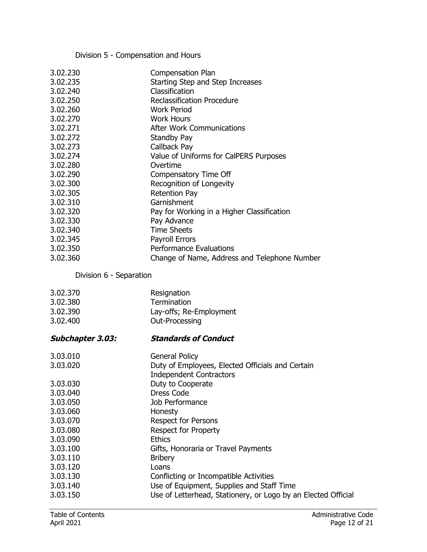# Division 5 - Compensation and Hours

| 3.02.230 | <b>Compensation Plan</b>                     |
|----------|----------------------------------------------|
| 3.02.235 | Starting Step and Step Increases             |
| 3.02.240 | Classification                               |
| 3.02.250 | Reclassification Procedure                   |
| 3.02.260 | <b>Work Period</b>                           |
| 3.02.270 | <b>Work Hours</b>                            |
| 3.02.271 | <b>After Work Communications</b>             |
| 3.02.272 | Standby Pay                                  |
| 3.02.273 | Callback Pay                                 |
| 3.02.274 | Value of Uniforms for CalPERS Purposes       |
| 3.02.280 | Overtime                                     |
| 3.02.290 | Compensatory Time Off                        |
| 3.02.300 | Recognition of Longevity                     |
| 3.02.305 | <b>Retention Pay</b>                         |
| 3.02.310 | Garnishment                                  |
| 3.02.320 | Pay for Working in a Higher Classification   |
| 3.02.330 | Pay Advance                                  |
| 3.02.340 | <b>Time Sheets</b>                           |
| 3.02.345 | Payroll Errors                               |
| 3.02.350 | <b>Performance Evaluations</b>               |
| 3.02.360 | Change of Name, Address and Telephone Number |
|          |                                              |

Division 6 - Separation

| 3.02.370<br>3.02.380<br>3.02.390<br>3.02.400 | Resignation<br>Termination<br>Lay-offs; Re-Employment<br>Out-Processing |
|----------------------------------------------|-------------------------------------------------------------------------|
| <b>Subchapter 3.03:</b>                      | <b>Standards of Conduct</b>                                             |
| 3.03.010                                     | General Policy                                                          |
| 3.03.020                                     | Duty of Employees, Elected Officials and Certain                        |
|                                              | <b>Independent Contractors</b>                                          |
| 3.03.030                                     | Duty to Cooperate                                                       |
| 3.03.040                                     | <b>Dress Code</b>                                                       |
| 3.03.050                                     | Job Performance                                                         |
| 3.03.060                                     | Honesty                                                                 |
| 3.03.070                                     | Respect for Persons                                                     |
| 3.03.080                                     | <b>Respect for Property</b>                                             |
| 3.03.090                                     | <b>Ethics</b>                                                           |
| 3.03.100                                     | Gifts, Honoraria or Travel Payments                                     |
| 3.03.110                                     | <b>Bribery</b>                                                          |
| 3.03.120                                     | Loans                                                                   |
| 3.03.130                                     | Conflicting or Incompatible Activities                                  |
| 3.03.140                                     | Use of Equipment, Supplies and Staff Time                               |
| 3.03.150                                     | Use of Letterhead, Stationery, or Logo by an Elected Official           |
|                                              |                                                                         |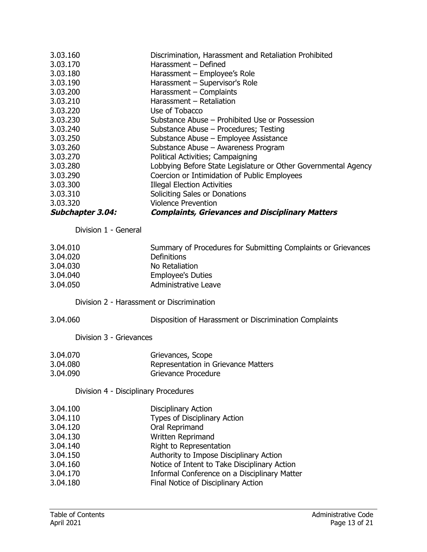| 3.03.160                | Discrimination, Harassment and Retaliation Prohibited          |
|-------------------------|----------------------------------------------------------------|
| 3.03.170                | Harassment - Defined                                           |
| 3.03.180                | Harassment - Employee's Role                                   |
| 3.03.190                | Harassment - Supervisor's Role                                 |
| 3.03.200                | Harassment - Complaints                                        |
| 3.03.210                | Harassment - Retaliation                                       |
| 3.03.220                | Use of Tobacco                                                 |
| 3.03.230                | Substance Abuse – Prohibited Use or Possession                 |
| 3.03.240                | Substance Abuse - Procedures; Testing                          |
| 3.03.250                | Substance Abuse - Employee Assistance                          |
| 3.03.260                | Substance Abuse - Awareness Program                            |
| 3.03.270                | Political Activities; Campaigning                              |
| 3.03.280                | Lobbying Before State Legislature or Other Governmental Agency |
| 3.03.290                | Coercion or Intimidation of Public Employees                   |
| 3.03.300                | <b>Illegal Election Activities</b>                             |
| 3.03.310                | Soliciting Sales or Donations                                  |
| 3.03.320                | <b>Violence Prevention</b>                                     |
| <b>Subchapter 3.04:</b> | <b>Complaints, Grievances and Disciplinary Matters</b>         |
|                         |                                                                |

Division 1 - General

| 3.04.010 | Summary of Procedures for Submitting Complaints or Grievances |
|----------|---------------------------------------------------------------|
| 3.04.020 | <b>Definitions</b>                                            |
| 3.04.030 | No Retaliation                                                |
| 3.04.040 | <b>Employee's Duties</b>                                      |
| 3.04.050 | Administrative Leave                                          |

Division 2 - Harassment or Discrimination

| 3.04.060 |  |
|----------|--|
|----------|--|

Disposition of Harassment or Discrimination Complaints

Division 3 - Grievances

| 3.04.070 | Grievances, Scope                   |
|----------|-------------------------------------|
| 3.04.080 | Representation in Grievance Matters |
| 3.04.090 | Grievance Procedure                 |

# Division 4 - Disciplinary Procedures

| 3.04.100 | <b>Disciplinary Action</b>                   |
|----------|----------------------------------------------|
| 3.04.110 | Types of Disciplinary Action                 |
| 3.04.120 | Oral Reprimand                               |
| 3.04.130 | Written Reprimand                            |
| 3.04.140 | Right to Representation                      |
| 3.04.150 | Authority to Impose Disciplinary Action      |
| 3.04.160 | Notice of Intent to Take Disciplinary Action |
| 3.04.170 | Informal Conference on a Disciplinary Matter |
| 3.04.180 | Final Notice of Disciplinary Action          |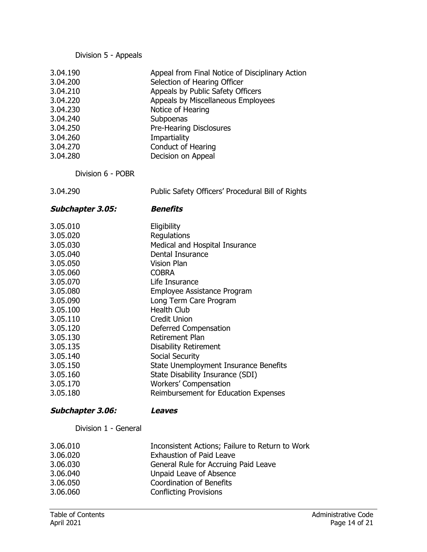Division 5 - Appeals

Division 6 - POBR

3.04.290 Public Safety Officers' Procedural Bill of Rights

| <b>Subchapter 3.05:</b> | <b>Benefits</b>                       |
|-------------------------|---------------------------------------|
| 3.05.010                | Eligibility                           |
| 3.05.020                | Regulations                           |
| 3.05.030                | Medical and Hospital Insurance        |
| 3.05.040                | Dental Insurance                      |
| 3.05.050                | <b>Vision Plan</b>                    |
| 3.05.060                | <b>COBRA</b>                          |
| 3.05.070                | Life Insurance                        |
| 3.05.080                | Employee Assistance Program           |
| 3.05.090                | Long Term Care Program                |
| 3.05.100                | <b>Health Club</b>                    |
| 3.05.110                | <b>Credit Union</b>                   |
| 3.05.120                | Deferred Compensation                 |
| 3.05.130                | <b>Retirement Plan</b>                |
| 3.05.135                | <b>Disability Retirement</b>          |
| 3.05.140                | Social Security                       |
| 3.05.150                | State Unemployment Insurance Benefits |
| 3.05.160                | State Disability Insurance (SDI)      |
| 3.05.170                | <b>Workers' Compensation</b>          |
| 3.05.180                | Reimbursement for Education Expenses  |

## **Subchapter 3.06: Leaves**

Division 1 - General

| 3.06.010 | Inconsistent Actions; Failure to Return to Work |
|----------|-------------------------------------------------|
| 3.06.020 | <b>Exhaustion of Paid Leave</b>                 |
| 3.06.030 | General Rule for Accruing Paid Leave            |
| 3.06.040 | Unpaid Leave of Absence                         |
| 3.06.050 | <b>Coordination of Benefits</b>                 |
| 3.06.060 | <b>Conflicting Provisions</b>                   |
|          |                                                 |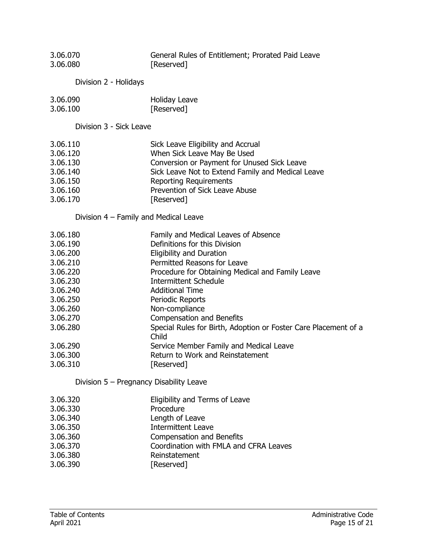| 3.06.070<br>3.06.080                                                                                                                                                 | General Rules of Entitlement; Prorated Paid Leave<br>[Reserved]                                                                                                                                                                                                                                                                                                                                                                                                                                          |
|----------------------------------------------------------------------------------------------------------------------------------------------------------------------|----------------------------------------------------------------------------------------------------------------------------------------------------------------------------------------------------------------------------------------------------------------------------------------------------------------------------------------------------------------------------------------------------------------------------------------------------------------------------------------------------------|
| Division 2 - Holidays                                                                                                                                                |                                                                                                                                                                                                                                                                                                                                                                                                                                                                                                          |
| 3.06.090<br>3.06.100                                                                                                                                                 | <b>Holiday Leave</b><br>[Reserved]                                                                                                                                                                                                                                                                                                                                                                                                                                                                       |
| Division 3 - Sick Leave                                                                                                                                              |                                                                                                                                                                                                                                                                                                                                                                                                                                                                                                          |
| 3.06.110<br>3.06.120<br>3.06.130<br>3.06.140<br>3.06.150<br>3.06.160<br>3.06.170                                                                                     | Sick Leave Eligibility and Accrual<br>When Sick Leave May Be Used<br>Conversion or Payment for Unused Sick Leave<br>Sick Leave Not to Extend Family and Medical Leave<br><b>Reporting Requirements</b><br>Prevention of Sick Leave Abuse<br>[Reserved]                                                                                                                                                                                                                                                   |
| Division 4 – Family and Medical Leave                                                                                                                                |                                                                                                                                                                                                                                                                                                                                                                                                                                                                                                          |
| 3.06.180<br>3.06.190<br>3.06.200<br>3.06.210<br>3.06.220<br>3.06.230<br>3.06.240<br>3.06.250<br>3.06.260<br>3.06.270<br>3.06.280<br>3.06.290<br>3.06.300<br>3.06.310 | Family and Medical Leaves of Absence<br>Definitions for this Division<br><b>Eligibility and Duration</b><br>Permitted Reasons for Leave<br>Procedure for Obtaining Medical and Family Leave<br><b>Intermittent Schedule</b><br><b>Additional Time</b><br>Periodic Reports<br>Non-compliance<br><b>Compensation and Benefits</b><br>Special Rules for Birth, Adoption or Foster Care Placement of a<br>Child<br>Service Member Family and Medical Leave<br>Return to Work and Reinstatement<br>[Reserved] |
| Division 5 - Pregnancy Disability Leave                                                                                                                              |                                                                                                                                                                                                                                                                                                                                                                                                                                                                                                          |
| 3.06.320<br>3.06.330<br>3.06.340<br>3.06.350<br>3.06.360<br>3.06.370<br>3.06.380<br>3.06.390                                                                         | Eligibility and Terms of Leave<br>Procedure<br>Length of Leave<br><b>Intermittent Leave</b><br><b>Compensation and Benefits</b><br>Coordination with FMLA and CFRA Leaves<br>Reinstatement<br>[Reserved]                                                                                                                                                                                                                                                                                                 |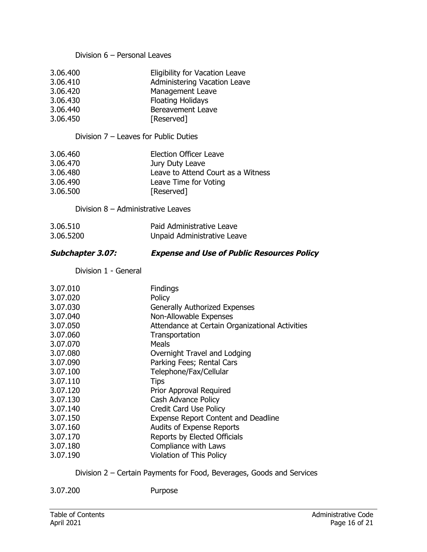#### Division 6 – Personal Leaves

| 3.06.400 | Eligibility for Vacation Leave |
|----------|--------------------------------|
| 3.06.410 | Administering Vacation Leave   |
| 3.06.420 | <b>Management Leave</b>        |
| 3.06.430 | <b>Floating Holidays</b>       |
| 3.06.440 | <b>Bereavement Leave</b>       |
| 3.06.450 | [Reserved]                     |

#### Division 7 – Leaves for Public Duties

| 3.06.460 | <b>Election Officer Leave</b>      |
|----------|------------------------------------|
| 3.06.470 | Jury Duty Leave                    |
| 3.06.480 | Leave to Attend Court as a Witness |
| 3.06.490 | Leave Time for Voting              |
| 3.06.500 | [Reserved]                         |

#### Division 8 – Administrative Leaves

| 3.06.510  | Paid Administrative Leave   |
|-----------|-----------------------------|
| 3.06.5200 | Unpaid Administrative Leave |

# **Subchapter 3.07: Expense and Use of Public Resources Policy**

Division 1 - General

| 3.07.010<br>3.07.020 | <b>Findings</b><br>Policy                       |
|----------------------|-------------------------------------------------|
| 3.07.030             | <b>Generally Authorized Expenses</b>            |
| 3.07.040             | Non-Allowable Expenses                          |
| 3.07.050             | Attendance at Certain Organizational Activities |
| 3.07.060             | Transportation                                  |
| 3.07.070             | Meals                                           |
| 3.07.080             | Overnight Travel and Lodging                    |
| 3.07.090             | Parking Fees; Rental Cars                       |
| 3.07.100             | Telephone/Fax/Cellular                          |
| 3.07.110             | <b>Tips</b>                                     |
| 3.07.120             | Prior Approval Required                         |
| 3.07.130             | Cash Advance Policy                             |
| 3.07.140             | Credit Card Use Policy                          |
| 3.07.150             | <b>Expense Report Content and Deadline</b>      |
| 3.07.160             | <b>Audits of Expense Reports</b>                |
| 3.07.170             | Reports by Elected Officials                    |
| 3.07.180             | Compliance with Laws                            |
| 3.07.190             | <b>Violation of This Policy</b>                 |

# Division 2 – Certain Payments for Food, Beverages, Goods and Services

3.07.200 Purpose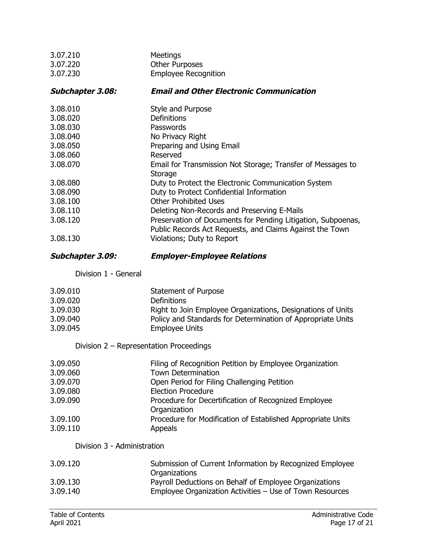| 3.07.210                | Meetings                                                     |
|-------------------------|--------------------------------------------------------------|
| 3.07.220                | <b>Other Purposes</b>                                        |
| 3.07.230                | <b>Employee Recognition</b>                                  |
| <b>Subchapter 3.08:</b> | <b>Email and Other Electronic Communication</b>              |
| 3.08.010                | Style and Purpose                                            |
| 3.08.020                | Definitions                                                  |
| 3.08.030                | Passwords                                                    |
| 3.08.040                | No Privacy Right                                             |
| 3.08.050                | Preparing and Using Email                                    |
| 3.08.060                | Reserved                                                     |
| 3.08.070                | Email for Transmission Not Storage; Transfer of Messages to  |
|                         | Storage                                                      |
| 3.08.080                | Duty to Protect the Electronic Communication System          |
| 3.08.090                | Duty to Protect Confidential Information                     |
| 3.08.100                | <b>Other Prohibited Uses</b>                                 |
| 3.08.110                | Deleting Non-Records and Preserving E-Mails                  |
| 3.08.120                | Preservation of Documents for Pending Litigation, Subpoenas, |
|                         | Public Records Act Requests, and Claims Against the Town     |
| 3.08.130                | Violations; Duty to Report                                   |
| <b>Subchapter 3.09:</b> | <b>Employer-Employee Relations</b>                           |
| Division 1 - General    |                                                              |

| 3.09.010 | Statement of Purpose                                        |
|----------|-------------------------------------------------------------|
| 3.09.020 | <b>Definitions</b>                                          |
| 3.09.030 | Right to Join Employee Organizations, Designations of Units |
| 3.09.040 | Policy and Standards for Determination of Appropriate Units |
| 3.09.045 | <b>Employee Units</b>                                       |

Division 2 – Representation Proceedings

| 3.09.050 | Filing of Recognition Petition by Employee Organization              |
|----------|----------------------------------------------------------------------|
| 3.09.060 | <b>Town Determination</b>                                            |
| 3.09.070 | Open Period for Filing Challenging Petition                          |
| 3.09.080 | <b>Election Procedure</b>                                            |
| 3.09.090 | Procedure for Decertification of Recognized Employee<br>Organization |
| 3.09.100 | Procedure for Modification of Established Appropriate Units          |
| 3.09.110 | <b>Appeals</b>                                                       |

# Division 3 - Administration

| 3.09.120 | Submission of Current Information by Recognized Employee<br>Organizations |
|----------|---------------------------------------------------------------------------|
| 3.09.130 | Payroll Deductions on Behalf of Employee Organizations                    |
| 3.09.140 | Employee Organization Activities – Use of Town Resources                  |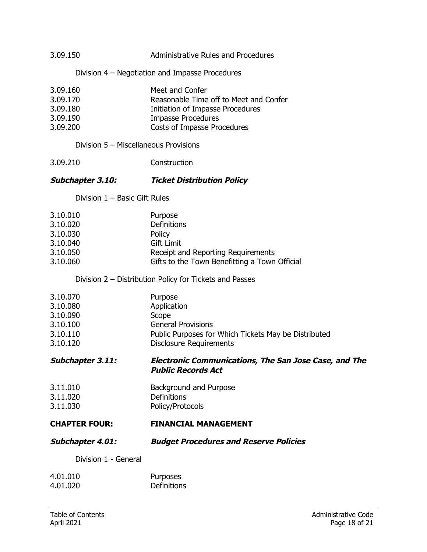| 3.09.150                                                             | Administrative Rules and Procedures                                                                                                                       |
|----------------------------------------------------------------------|-----------------------------------------------------------------------------------------------------------------------------------------------------------|
|                                                                      | Division 4 – Negotiation and Impasse Procedures                                                                                                           |
| 3.09.160<br>3.09.170<br>3.09.180<br>3.09.190<br>3.09.200             | Meet and Confer<br>Reasonable Time off to Meet and Confer<br>Initiation of Impasse Procedures<br><b>Impasse Procedures</b><br>Costs of Impasse Procedures |
| Division 5 - Miscellaneous Provisions                                |                                                                                                                                                           |
| 3.09.210                                                             | Construction                                                                                                                                              |
| Subchapter 3.10:                                                     | <b>Ticket Distribution Policy</b>                                                                                                                         |
| Division $1 -$ Basic Gift Rules                                      |                                                                                                                                                           |
| 3.10.010<br>3.10.020<br>3.10.030<br>3.10.040<br>3.10.050<br>3.10.060 | Purpose<br>Definitions<br>Policy<br><b>Gift Limit</b><br>Receipt and Reporting Requirements<br>Gifts to the Town Benefitting a Town Official              |
|                                                                      | Division 2 - Distribution Policy for Tickets and Passes                                                                                                   |
| 3.10.070<br>3.10.080<br>3.10.090<br>3.10.100<br>3.10.110<br>3.10.120 | Purpose<br>Application<br>Scope<br><b>General Provisions</b><br>Public Purposes for Which Tickets May be Distributed<br><b>Disclosure Requirements</b>    |
| Subchapter 3.11:                                                     | <b>Electronic Communications, The San Jose Case, and The</b><br><b>Public Records Act</b>                                                                 |
| 3.11.010<br>3.11.020<br>3.11.030                                     | Background and Purpose<br>Definitions<br>Policy/Protocols                                                                                                 |
| <b>CHAPTER FOUR:</b>                                                 | <b>FINANCIAL MANAGEMENT</b>                                                                                                                               |
| <b>Subchapter 4.01:</b>                                              | <b>Budget Procedures and Reserve Policies</b>                                                                                                             |
| Division 1 - General                                                 |                                                                                                                                                           |
| 4.01.010<br>4.01.020                                                 | Purposes<br>Definitions                                                                                                                                   |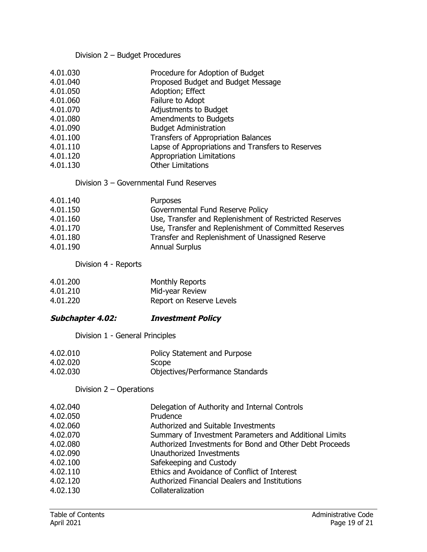# Division 2 – Budget Procedures

| 4.01.030<br>4.01.040<br>4.01.050<br>4.01.060<br>4.01.070<br>4.01.080<br>4.01.090<br>4.01.100<br>4.01.110<br>4.01.120<br>4.01.130<br>Division 3 - Governmental Fund Reserves | Procedure for Adoption of Budget<br>Proposed Budget and Budget Message<br>Adoption; Effect<br>Failure to Adopt<br>Adjustments to Budget<br>Amendments to Budgets<br><b>Budget Administration</b><br>Transfers of Appropriation Balances<br>Lapse of Appropriations and Transfers to Reserves<br><b>Appropriation Limitations</b><br><b>Other Limitations</b> |
|-----------------------------------------------------------------------------------------------------------------------------------------------------------------------------|--------------------------------------------------------------------------------------------------------------------------------------------------------------------------------------------------------------------------------------------------------------------------------------------------------------------------------------------------------------|
|                                                                                                                                                                             |                                                                                                                                                                                                                                                                                                                                                              |
| 4.01.140<br>4.01.150<br>4.01.160<br>4.01.170<br>4.01.180<br>4.01.190                                                                                                        | Purposes<br>Governmental Fund Reserve Policy<br>Use, Transfer and Replenishment of Restricted Reserves<br>Use, Transfer and Replenishment of Committed Reserves<br>Transfer and Replenishment of Unassigned Reserve<br><b>Annual Surplus</b>                                                                                                                 |
| Division 4 - Reports                                                                                                                                                        |                                                                                                                                                                                                                                                                                                                                                              |
| 4.01.200<br>4.01.210<br>4.01.220                                                                                                                                            | <b>Monthly Reports</b><br>Mid-year Review<br>Report on Reserve Levels                                                                                                                                                                                                                                                                                        |
| <b>Subchapter 4.02:</b>                                                                                                                                                     | <b>Investment Policy</b>                                                                                                                                                                                                                                                                                                                                     |
| Division 1 - General Principles                                                                                                                                             |                                                                                                                                                                                                                                                                                                                                                              |
| 4.02.010<br>4.02.020<br>4.02.030                                                                                                                                            | Policy Statement and Purpose<br>Scope<br>Objectives/Performance Standards                                                                                                                                                                                                                                                                                    |
| Division $2 -$ Operations                                                                                                                                                   |                                                                                                                                                                                                                                                                                                                                                              |
| 4.02.040<br>4.02.050<br>4.02.060<br>4.02.070<br>4.02.080<br>4.02.090<br>4.02.100                                                                                            | Delegation of Authority and Internal Controls<br>Prudence<br>Authorized and Suitable Investments<br>Summary of Investment Parameters and Additional Limits<br>Authorized Investments for Bond and Other Debt Proceeds<br>Unauthorized Investments<br>Safekeeping and Custody                                                                                 |

- 4.02.110 Ethics and Avoidance of Conflict of Interest
- 4.02.120 Authorized Financial Dealers and Institutions
- 4.02.130 Collateralization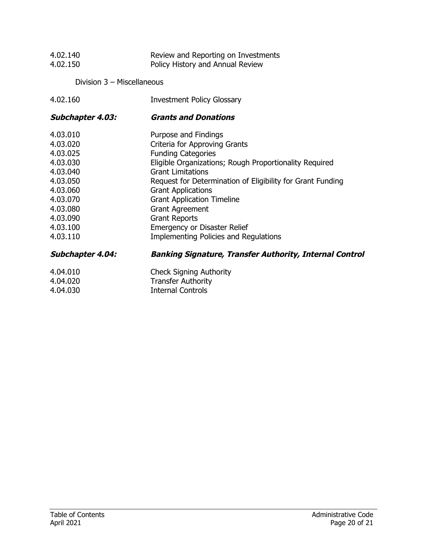| 4.02.140<br>4.02.150       | Review and Reporting on Investments<br>Policy History and Annual Review |
|----------------------------|-------------------------------------------------------------------------|
| Division 3 - Miscellaneous |                                                                         |
| 4.02.160                   | <b>Investment Policy Glossary</b>                                       |
| <b>Subchapter 4.03:</b>    | <b>Grants and Donations</b>                                             |
| 4.03.010                   | Purpose and Findings                                                    |
| 4.03.020                   | Criteria for Approving Grants                                           |
| 4.03.025                   | <b>Funding Categories</b>                                               |
| 4.03.030                   | Eligible Organizations; Rough Proportionality Required                  |
| 4.03.040                   | <b>Grant Limitations</b>                                                |
| 4.03.050                   | Request for Determination of Eligibility for Grant Funding              |
| 4.03.060                   | <b>Grant Applications</b>                                               |
| 4.03.070                   | <b>Grant Application Timeline</b>                                       |
| 4.03.080                   | <b>Grant Agreement</b>                                                  |
| 4.03.090                   | <b>Grant Reports</b>                                                    |
| 4.03.100                   | <b>Emergency or Disaster Relief</b>                                     |
| 4.03.110                   | <b>Implementing Policies and Regulations</b>                            |
| <b>Subchapter 4.04:</b>    | <b>Banking Signature, Transfer Authority, Internal Control</b>          |
| 4.04.010                   | <b>Check Signing Authority</b>                                          |
| 4.04.020                   | <b>Transfer Authority</b>                                               |

4.04.030 Internal Controls